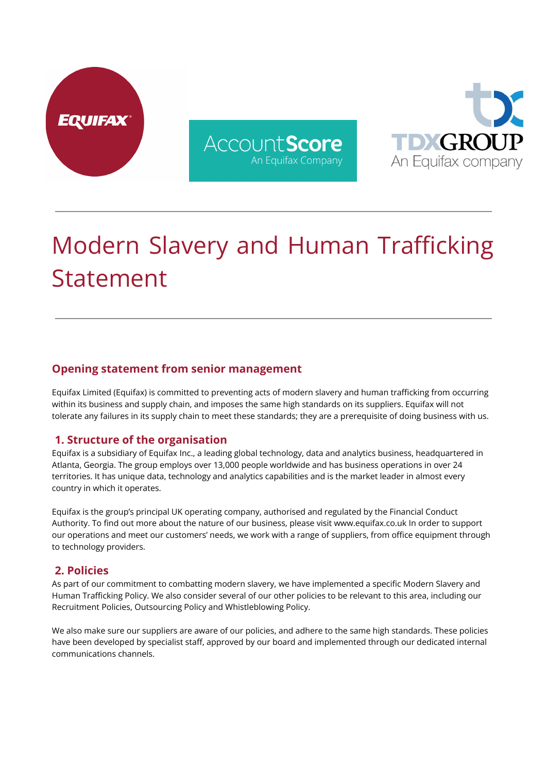





# Modern Slavery and Human Trafficking Statement

# **Opening statement from senior management**

Equifax Limited (Equifax) is committed to preventing acts of modern slavery and human trafficking from occurring within its business and supply chain, and imposes the same high standards on its suppliers. Equifax will not tolerate any failures in its supply chain to meet these standards; they are a prerequisite of doing business with us.

## **1. Structure of the organisation**

Equifax is a subsidiary of Equifax Inc., a leading global technology, data and analytics business, headquartered in Atlanta, Georgia. The group employs over 13,000 people worldwide and has business operations in over 24 territories. It has unique data, technology and analytics capabilities and is the market leader in almost every country in which it operates.

Equifax is the group's principal UK operating company, authorised and regulated by the Financial Conduct Authority. To find out more about the nature of our business, please visit www.equifax.co.uk In order to support our operations and meet our customers' needs, we work with a range of suppliers, from office equipment through to technology providers.

#### **2. Policies**

As part of our commitment to combatting modern slavery, we have implemented a specific Modern Slavery and Human Trafficking Policy. We also consider several of our other policies to be relevant to this area, including our Recruitment Policies, Outsourcing Policy and Whistleblowing Policy.

We also make sure our suppliers are aware of our policies, and adhere to the same high standards. These policies have been developed by specialist staff, approved by our board and implemented through our dedicated internal communications channels.